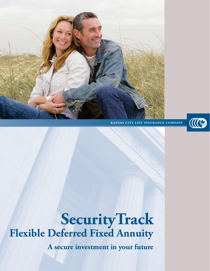

**KANSAS CITY LIFE INSURANCE COMPANY**



**SecurityTrack Flexible Deferred Fixed Annuity**

**A secure investment in your future**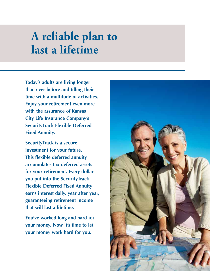# **A reliable plan to last a lifetime**

**Today's adults are living longer than ever before and filling their time with a multitude of activities. Enjoy your retirement even more with the assurance of Kansas City Life Insurance Company's SecurityTrack Flexible Deferred Fixed Annuity.**

**SecurityTrack is a secure investment for your future. This flexible deferred annuity accumulates tax-deferred assets for your retirement. Every dollar you put into the SecurityTrack Flexible Deferred Fixed Annuity earns interest daily, year after year, guaranteeing retirement income that will last a lifetime.**

**You've worked long and hard for your money. Now it's time to let your money work hard for you.**

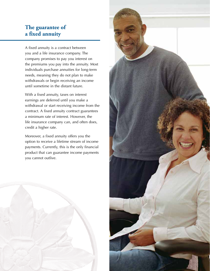### **The guarantee of a fixed annuity**

A fixed annuity is a contract between you and a life insurance company. The company promises to pay you interest on the premiums you pay into the annuity. Most individuals purchase annuities for long-term needs, meaning they do not plan to make withdrawals or begin receiving an income until sometime in the distant future.

With a fixed annuity, taxes on interest earnings are deferred until you make a withdrawal or start receiving income from the contract. A fixed annuity contract guarantees a minimum rate of interest. However, the life insurance company can, and often does, credit a higher rate.

Moreover, a fixed annuity offers you the option to receive a lifetime stream of income payments. Currently, this is the only financial product that can guarantee income payments you cannot outlive.



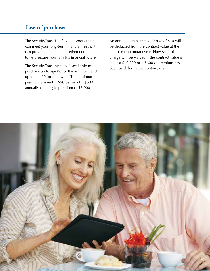## **Ease of purchase**

The SecurityTrack is a flexible product that can meet your long-term financial needs. It can provide a guaranteed retirement income to help secure your family's financial future.

The SecurityTrack Annuity is available to purchase up to age 80 for the annuitant and up to age 90 for the owner. The minimum premium amount is \$50 per month, \$600 annually or a single premium of \$5,000.

An annual administrative charge of \$30 will be deducted from the contract value at the end of each contract year. However, this charge will be waived if the contract value is at least \$10,000 or if \$600 of premium has been paid during the contract year.

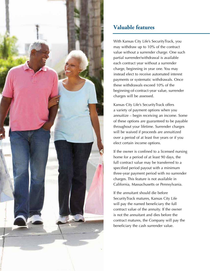

# **Valuable features**

With Kansas City Life's SecurityTrack, you may withdraw up to 10% of the contract value without a surrender charge. One such partial surrender/withdrawal is available each contract year without a surrender charge, beginning in year one. You may instead elect to receive automated interest payments or systematic withdrawals. Once these withdrawals exceed 10% of the beginning-of-contract-year value, surrender charges will be assessed.

Kansas City Life's SecurityTrack offers a variety of payment options when you annuitize – begin receiving an income. Some of these options are guaranteed to be payable throughout your lifetime. Surrender charges will be waived if proceeds are annuitized over a period of at least five years or if you elect certain income options.

If the owner is confined to a licensed nursing home for a period of at least 90 days, the full contract value may be transferred to a specified period payout with a minimum three-year payment period with no surrender charges. This feature is not available in California, Massachusetts or Pennsylvania.

If the annuitant should die before SecurityTrack matures, Kansas City Life will pay the named beneficiary the full contract value of the annuity. If the owner is not the annuitant and dies before the contract matures, the Company will pay the beneficiary the cash surrender value.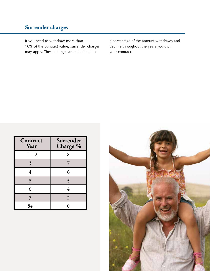# **Surrender charges**

If you need to withdraw more than 10% of the contract value, surrender charges may apply. These charges are calculated as

a percentage of the amount withdrawn and decline throughout the years you own your contract.

| Contract<br>Year | Surrender<br>Charge % |
|------------------|-----------------------|
| $1 - 2$          | 8                     |
| 3                |                       |
| 4                | 6                     |
| 5                | 5                     |
| 6                | 4                     |
| 7                | $\overline{2}$        |
| 8∓               |                       |

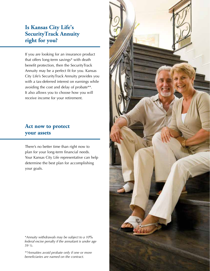### **Is Kansas City Life's SecurityTrack Annuity right for you?**

If you are looking for an insurance product that offers long-term savings\* with death benefit protection, then the SecurityTrack Annuity may be a perfect fit for you. Kansas City Life's SecurityTrack Annuity provides you with a tax-deferred interest on earnings while avoiding the cost and delay of probate\*\*. It also allows you to choose how you will receive income for your retirement.

#### **Act now to protect your assets**

There's no better time than right now to plan for your long-term financial needs. Your Kansas City Life representative can help determine the best plan for accomplishing your goals.

*\*Annuity withdrawals may be subject to a 10*% *federal excise penalty if the annuitant is under age 59 ½.*

*\*\*Annuities avoid probate only if one or more beneficiaries are named on the contract.*